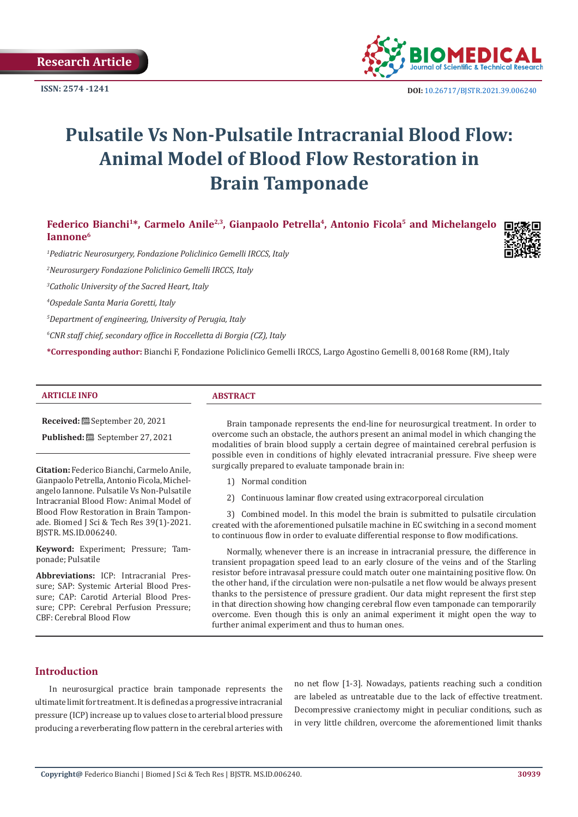**Research Article**

**ISSN: 2574 -1241**



 **DOI:** [10.26717/BJSTR.2021.39.006240](https://dx.doi.org/10.26717/BJSTR.2021.39.006240)

# **Pulsatile Vs Non-Pulsatile Intracranial Blood Flow: Animal Model of Blood Flow Restoration in Brain Tamponade**

Federico Bianchi<sup>1\*</sup>, Carmelo Anile<sup>2,3</sup>, Gianpaolo Petrella<sup>4</sup>, Antonio Ficola<sup>5</sup> and Michelangelo **Iannone6**

*1 Pediatric Neurosurgery, Fondazione Policlinico Gemelli IRCCS, Italy*

*2 Neurosurgery Fondazione Policlinico Gemelli IRCCS, Italy*

*3 Catholic University of the Sacred Heart, Italy*

*4 Ospedale Santa Maria Goretti, Italy*

*5 Department of engineering, University of Perugia, Italy*

*6 CNR staff chief, secondary office in Roccelletta di Borgia (CZ), Italy*

**\*Corresponding author:** Bianchi F, Fondazione Policlinico Gemelli IRCCS, Largo Agostino Gemelli 8, 00168 Rome (RM), Italy

#### **ARTICLE INFO ABSTRACT**

**Received:** September 20, 2021

**Published:** <sup>8</sup> September 27, 2021

**Citation:** Federico Bianchi, Carmelo Anile, Gianpaolo Petrella, Antonio Ficola, Michelangelo Iannone. Pulsatile Vs Non-Pulsatile Intracranial Blood Flow: Animal Model of Blood Flow Restoration in Brain Tamponade. Biomed J Sci & Tech Res 39(1)-2021. BJSTR. MS.ID.006240.

**Keyword:** Experiment; Pressure; Tamponade; Pulsatile

**Abbreviations:** ICP: Intracranial Pressure; SAP: Systemic Arterial Blood Pressure; CAP: Carotid Arterial Blood Pressure; CPP: Cerebral Perfusion Pressure; CBF: Cerebral Blood Flow

Brain tamponade represents the end-line for neurosurgical treatment. In order to overcome such an obstacle, the authors present an animal model in which changing the modalities of brain blood supply a certain degree of maintained cerebral perfusion is possible even in conditions of highly elevated intracranial pressure. Five sheep were surgically prepared to evaluate tamponade brain in:

- 1) Normal condition
- 2) Continuous laminar flow created using extracorporeal circulation

3) Combined model. In this model the brain is submitted to pulsatile circulation created with the aforementioned pulsatile machine in EC switching in a second moment to continuous flow in order to evaluate differential response to flow modifications.

Normally, whenever there is an increase in intracranial pressure, the difference in transient propagation speed lead to an early closure of the veins and of the Starling resistor before intravasal pressure could match outer one maintaining positive flow. On the other hand, if the circulation were non-pulsatile a net flow would be always present thanks to the persistence of pressure gradient. Our data might represent the first step in that direction showing how changing cerebral flow even tamponade can temporarily overcome. Even though this is only an animal experiment it might open the way to further animal experiment and thus to human ones.

#### **Introduction**

In neurosurgical practice brain tamponade represents the ultimate limit for treatment. It is defined as a progressive intracranial pressure (ICP) increase up to values close to arterial blood pressure producing a reverberating flow pattern in the cerebral arteries with

no net flow [1-3]. Nowadays, patients reaching such a condition are labeled as untreatable due to the lack of effective treatment. Decompressive craniectomy might in peculiar conditions, such as in very little children, overcome the aforementioned limit thanks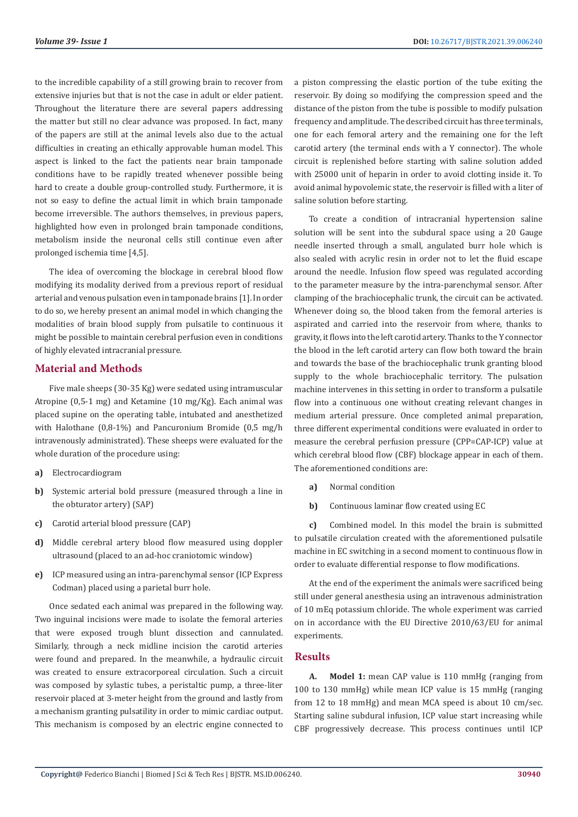to the incredible capability of a still growing brain to recover from extensive injuries but that is not the case in adult or elder patient. Throughout the literature there are several papers addressing the matter but still no clear advance was proposed. In fact, many of the papers are still at the animal levels also due to the actual difficulties in creating an ethically approvable human model. This aspect is linked to the fact the patients near brain tamponade conditions have to be rapidly treated whenever possible being hard to create a double group-controlled study. Furthermore, it is not so easy to define the actual limit in which brain tamponade become irreversible. The authors themselves, in previous papers, highlighted how even in prolonged brain tamponade conditions, metabolism inside the neuronal cells still continue even after prolonged ischemia time [4,5].

The idea of overcoming the blockage in cerebral blood flow modifying its modality derived from a previous report of residual arterial and venous pulsation even in tamponade brains [1]. In order to do so, we hereby present an animal model in which changing the modalities of brain blood supply from pulsatile to continuous it might be possible to maintain cerebral perfusion even in conditions of highly elevated intracranial pressure.

#### **Material and Methods**

Five male sheeps (30-35 Kg) were sedated using intramuscular Atropine (0,5-1 mg) and Ketamine (10 mg/Kg). Each animal was placed supine on the operating table, intubated and anesthetized with Halothane (0,8-1%) and Pancuronium Bromide (0,5 mg/h intravenously administrated). These sheeps were evaluated for the whole duration of the procedure using:

- **a)** Electrocardiogram
- **b)** Systemic arterial bold pressure (measured through a line in the obturator artery) (SAP)
- **c)** Carotid arterial blood pressure (CAP)
- **d)** Middle cerebral artery blood flow measured using doppler ultrasound (placed to an ad-hoc craniotomic window)
- **e)** ICP measured using an intra-parenchymal sensor (ICP Express Codman) placed using a parietal burr hole.

Once sedated each animal was prepared in the following way. Two inguinal incisions were made to isolate the femoral arteries that were exposed trough blunt dissection and cannulated. Similarly, through a neck midline incision the carotid arteries were found and prepared. In the meanwhile, a hydraulic circuit was created to ensure extracorporeal circulation. Such a circuit was composed by sylastic tubes, a peristaltic pump, a three-liter reservoir placed at 3-meter height from the ground and lastly from a mechanism granting pulsatility in order to mimic cardiac output. This mechanism is composed by an electric engine connected to

a piston compressing the elastic portion of the tube exiting the reservoir. By doing so modifying the compression speed and the distance of the piston from the tube is possible to modify pulsation frequency and amplitude. The described circuit has three terminals, one for each femoral artery and the remaining one for the left carotid artery (the terminal ends with a Y connector). The whole circuit is replenished before starting with saline solution added with 25000 unit of heparin in order to avoid clotting inside it. To avoid animal hypovolemic state, the reservoir is filled with a liter of saline solution before starting.

To create a condition of intracranial hypertension saline solution will be sent into the subdural space using a 20 Gauge needle inserted through a small, angulated burr hole which is also sealed with acrylic resin in order not to let the fluid escape around the needle. Infusion flow speed was regulated according to the parameter measure by the intra-parenchymal sensor. After clamping of the brachiocephalic trunk, the circuit can be activated. Whenever doing so, the blood taken from the femoral arteries is aspirated and carried into the reservoir from where, thanks to gravity, itflows into the left carotid artery. Thanks to the Y connector the blood in the left carotid artery can flow both toward the brain and towards the base of the brachiocephalic trunk granting blood supply to the whole brachiocephalic territory. The pulsation machine intervenes in this setting in order to transform a pulsatile flow into a continuous one without creating relevant changes in medium arterial pressure. Once completed animal preparation, three different experimental conditions were evaluated in order to measure the cerebral perfusion pressure (CPP=CAP-ICP) value at which cerebral blood flow (CBF) blockage appear in each of them. The aforementioned conditions are:

- **a)** Normal condition
- **b)** Continuous laminar flow created using EC

**c)** Combined model. In this model the brain is submitted to pulsatile circulation created with the aforementioned pulsatile machine in EC switching in a second moment to continuous flow in order to evaluate differential response to flow modifications.

At the end of the experiment the animals were sacrificed being still under general anesthesia using an intravenous administration of 10 mEq potassium chloride. The whole experiment was carried on in accordance with the EU Directive 2010/63/EU for animal experiments.

#### **Results**

**A. Model 1:** mean CAP value is 110 mmHg (ranging from 100 to 130 mmHg) while mean ICP value is 15 mmHg (ranging from 12 to 18 mmHg) and mean MCA speed is about 10 cm/sec. Starting saline subdural infusion, ICP value start increasing while CBF progressively decrease. This process continues until ICP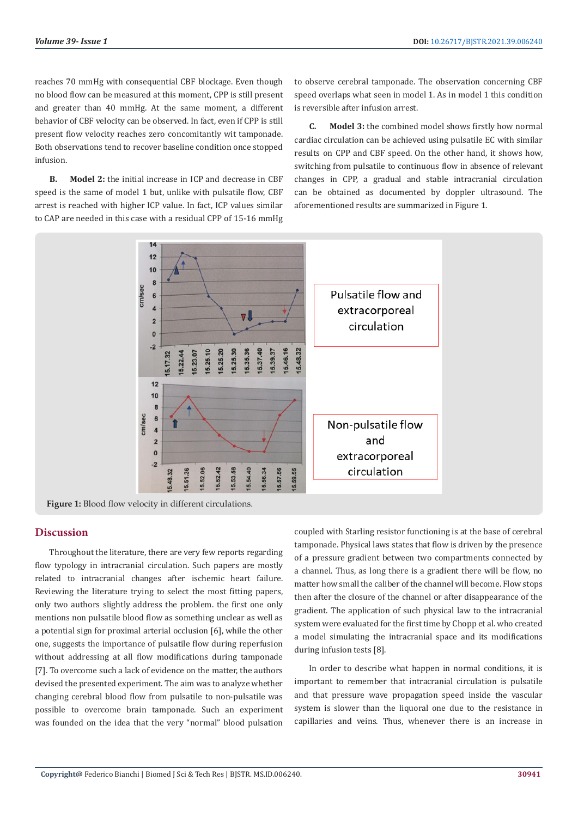reaches 70 mmHg with consequential CBF blockage. Even though no blood flow can be measured at this moment, CPP is still present and greater than 40 mmHg. At the same moment, a different behavior of CBF velocity can be observed. In fact, even if CPP is still present flow velocity reaches zero concomitantly wit tamponade. Both observations tend to recover baseline condition once stopped infusion.

**B. Model 2:** the initial increase in ICP and decrease in CBF speed is the same of model 1 but, unlike with pulsatile flow, CBF arrest is reached with higher ICP value. In fact, ICP values similar to CAP are needed in this case with a residual CPP of 15-16 mmHg

to observe cerebral tamponade. The observation concerning CBF speed overlaps what seen in model 1. As in model 1 this condition is reversible after infusion arrest.

**C. Model 3:** the combined model shows firstly how normal cardiac circulation can be achieved using pulsatile EC with similar results on CPP and CBF speed. On the other hand, it shows how, switching from pulsatile to continuous flow in absence of relevant changes in CPP, a gradual and stable intracranial circulation can be obtained as documented by doppler ultrasound. The aforementioned results are summarized in Figure 1.



#### **Discussion**

Throughout the literature, there are very few reports regarding flow typology in intracranial circulation. Such papers are mostly related to intracranial changes after ischemic heart failure. Reviewing the literature trying to select the most fitting papers, only two authors slightly address the problem. the first one only mentions non pulsatile blood flow as something unclear as well as a potential sign for proximal arterial occlusion [6], while the other one, suggests the importance of pulsatile flow during reperfusion without addressing at all flow modifications during tamponade [7]. To overcome such a lack of evidence on the matter, the authors devised the presented experiment. The aim was to analyze whether changing cerebral blood flow from pulsatile to non-pulsatile was possible to overcome brain tamponade. Such an experiment was founded on the idea that the very "normal" blood pulsation

coupled with Starling resistor functioning is at the base of cerebral tamponade. Physical laws states that flow is driven by the presence of a pressure gradient between two compartments connected by a channel. Thus, as long there is a gradient there will be flow, no matter how small the caliber of the channel will become. Flow stops then after the closure of the channel or after disappearance of the gradient. The application of such physical law to the intracranial system were evaluated for the first time by Chopp et al. who created a model simulating the intracranial space and its modifications during infusion tests [8].

In order to describe what happen in normal conditions, it is important to remember that intracranial circulation is pulsatile and that pressure wave propagation speed inside the vascular system is slower than the liquoral one due to the resistance in capillaries and veins. Thus, whenever there is an increase in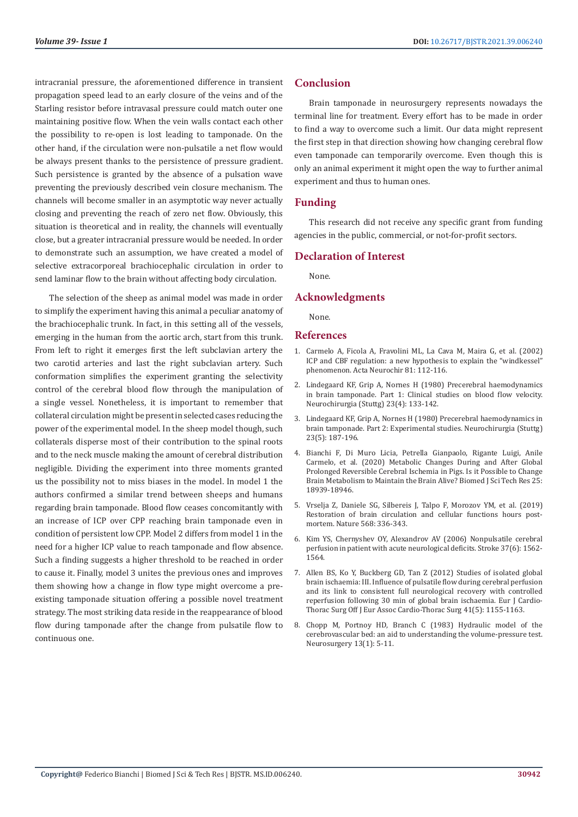intracranial pressure, the aforementioned difference in transient propagation speed lead to an early closure of the veins and of the Starling resistor before intravasal pressure could match outer one maintaining positive flow. When the vein walls contact each other the possibility to re-open is lost leading to tamponade. On the other hand, if the circulation were non-pulsatile a net flow would be always present thanks to the persistence of pressure gradient. Such persistence is granted by the absence of a pulsation wave preventing the previously described vein closure mechanism. The channels will become smaller in an asymptotic way never actually closing and preventing the reach of zero net flow. Obviously, this situation is theoretical and in reality, the channels will eventually close, but a greater intracranial pressure would be needed. In order to demonstrate such an assumption, we have created a model of selective extracorporeal brachiocephalic circulation in order to send laminar flow to the brain without affecting body circulation.

The selection of the sheep as animal model was made in order to simplify the experiment having this animal a peculiar anatomy of the brachiocephalic trunk. In fact, in this setting all of the vessels, emerging in the human from the aortic arch, start from this trunk. From left to right it emerges first the left subclavian artery the two carotid arteries and last the right subclavian artery. Such conformation simplifies the experiment granting the selectivity control of the cerebral blood flow through the manipulation of a single vessel. Nonetheless, it is important to remember that collateral circulation might be present in selected cases reducing the power of the experimental model. In the sheep model though, such collaterals disperse most of their contribution to the spinal roots and to the neck muscle making the amount of cerebral distribution negligible. Dividing the experiment into three moments granted us the possibility not to miss biases in the model. In model 1 the authors confirmed a similar trend between sheeps and humans regarding brain tamponade. Blood flow ceases concomitantly with an increase of ICP over CPP reaching brain tamponade even in condition of persistent low CPP. Model 2 differs from model 1 in the need for a higher ICP value to reach tamponade and flow absence. Such a finding suggests a higher threshold to be reached in order to cause it. Finally, model 3 unites the previous ones and improves them showing how a change in flow type might overcome a preexisting tamponade situation offering a possible novel treatment strategy. The most striking data reside in the reappearance of blood flow during tamponade after the change from pulsatile flow to continuous one.

### **Conclusion**

Brain tamponade in neurosurgery represents nowadays the terminal line for treatment. Every effort has to be made in order to find a way to overcome such a limit. Our data might represent the first step in that direction showing how changing cerebral flow even tamponade can temporarily overcome. Even though this is only an animal experiment it might open the way to further animal experiment and thus to human ones.

#### **Funding**

This research did not receive any specific grant from funding agencies in the public, commercial, or not-for-profit sectors.

#### **Declaration of Interest**

None.

#### **Acknowledgments**

None.

#### **References**

- 1. [Carmelo A, Ficola A, Fravolini ML, La Cava M, Maira G, et al. \(2002\)](https://pubmed.ncbi.nlm.nih.gov/12168279/) [ICP and CBF regulation: a new hypothesis to explain the "windkessel"](https://pubmed.ncbi.nlm.nih.gov/12168279/) [phenomenon. Acta Neurochir 81: 112-116.](https://pubmed.ncbi.nlm.nih.gov/12168279/)
- 2. Lindegaard KF, Grip A, Nornes H (1980) Precerebral [haemodynamics](https://pubmed.ncbi.nlm.nih.gov/7432584/) in brain [tamponade.](https://pubmed.ncbi.nlm.nih.gov/7432584/) Part 1: Clinical studies on blood flow velocity. [Neurochirurgia \(Stuttg\) 23\(4\): 133-142.](https://pubmed.ncbi.nlm.nih.gov/7432584/)
- 3. Lindegaard KF, Grip A, Nornes H (1980) Precerebral [haemodynamics](https://pubmed.ncbi.nlm.nih.gov/7432591/) in [brain tamponade. Part 2: Experimental studies. Neurochirurgia \(Stuttg\)](https://pubmed.ncbi.nlm.nih.gov/7432591/) 23(5): [187-196.](https://pubmed.ncbi.nlm.nih.gov/7432591/)
- 4. [Bianchi F, Di Muro Licia, Petrella Gianpaolo, Rigante Luigi, Anile](https://biomedres.us/fulltexts/BJSTR.MS.ID.004168.php) [Carmelo, et al. \(2020\) Metabolic Changes During and After Global](https://biomedres.us/fulltexts/BJSTR.MS.ID.004168.php) [Prolonged Reversible Cerebral Ischemia in Pigs. Is it Possible to Change](https://biomedres.us/fulltexts/BJSTR.MS.ID.004168.php) Brain Metabolism to Maintain the Brain Alive? Biomed J Sci Tech Res 25: [18939-18946.](https://biomedres.us/fulltexts/BJSTR.MS.ID.004168.php)
- 5. [Vrselja Z, Daniele SG, Silbereis J, Talpo F, Morozov YM, et al. \(2019\)](https://www.nature.com/articles/s41586-019-1099-1) [Restoration of brain circulation and cellular functions hours post](https://www.nature.com/articles/s41586-019-1099-1)mortem. Nature 568: [336-343.](https://www.nature.com/articles/s41586-019-1099-1)
- 6. Kim YS, Chernyshev OY, Alexandrov AV (2006) [Nonpulsatile](https://www.ahajournals.org/doi/10.1161/01.STR.0000222938.84036.40) cerebral perfusion in patient with acute [neurological](https://www.ahajournals.org/doi/10.1161/01.STR.0000222938.84036.40) deficits. Stroke 37(6): 1562- [1564.](https://www.ahajournals.org/doi/10.1161/01.STR.0000222938.84036.40)
- 7. Allen BS, Ko Y, [Buckberg](https://pubmed.ncbi.nlm.nih.gov/22436247/) GD, Tan Z (2012) Studies of isolated global brain [ischaemia:](https://pubmed.ncbi.nlm.nih.gov/22436247/) III. Influence of pulsatile flow during cerebral perfusion [and its link to consistent full neurological recovery with controlled](https://pubmed.ncbi.nlm.nih.gov/22436247/) [reperfusion following 30 min of global brain ischaemia. Eur J Cardio-](https://pubmed.ncbi.nlm.nih.gov/22436247/)Thorac Surg Off J Eur Assoc Cardio-Thorac Surg 41(5): 1155-1163.
- 8. [Chopp M, Portnoy HD, Branch C \(1983\) Hydraulic model of the](https://pubmed.ncbi.nlm.nih.gov/6877565/) [cerebrovascular bed: an aid to understanding the volume-pressure test.](https://pubmed.ncbi.nlm.nih.gov/6877565/) [Neurosurgery](https://pubmed.ncbi.nlm.nih.gov/6877565/) 13(1): 5-11.